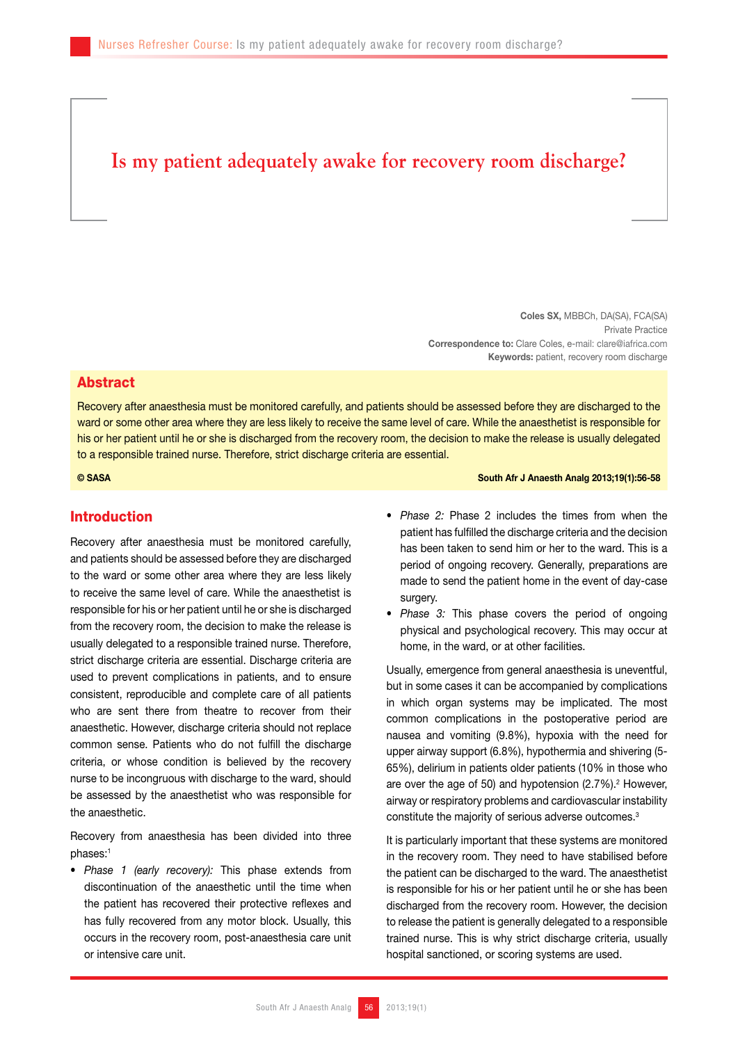# **Is my patient adequately awake for recovery room discharge?**

Coles SX, MBBCh, DA(SA), FCA(SA) Private Practice Correspondence to: Clare Coles, e-mail: clare@iafrica.com Keywords: patient, recovery room discharge

## Abstract

Recovery after anaesthesia must be monitored carefully, and patients should be assessed before they are discharged to the ward or some other area where they are less likely to receive the same level of care. While the anaesthetist is responsible for his or her patient until he or she is discharged from the recovery room, the decision to make the release is usually delegated to a responsible trained nurse. Therefore, strict discharge criteria are essential.

#### © SASA South Afr J Anaesth Analg 2013;19(1):56-58

#### Introduction

Recovery after anaesthesia must be monitored carefully, and patients should be assessed before they are discharged to the ward or some other area where they are less likely to receive the same level of care. While the anaesthetist is responsible for his or her patient until he or she is discharged from the recovery room, the decision to make the release is usually delegated to a responsible trained nurse. Therefore, strict discharge criteria are essential. Discharge criteria are used to prevent complications in patients, and to ensure consistent, reproducible and complete care of all patients who are sent there from theatre to recover from their anaesthetic. However, discharge criteria should not replace common sense. Patients who do not fulfill the discharge criteria, or whose condition is believed by the recovery nurse to be incongruous with discharge to the ward, should be assessed by the anaesthetist who was responsible for the anaesthetic.

Recovery from anaesthesia has been divided into three phases:1

• Phase 1 (early recovery): This phase extends from discontinuation of the anaesthetic until the time when the patient has recovered their protective reflexes and has fully recovered from any motor block. Usually, this occurs in the recovery room, post-anaesthesia care unit or intensive care unit.

- Phase 2: Phase 2 includes the times from when the patient has fulfilled the discharge criteria and the decision has been taken to send him or her to the ward. This is a period of ongoing recovery. Generally, preparations are made to send the patient home in the event of day-case surgery.
- Phase 3: This phase covers the period of ongoing physical and psychological recovery. This may occur at home, in the ward, or at other facilities.

Usually, emergence from general anaesthesia is uneventful, but in some cases it can be accompanied by complications in which organ systems may be implicated. The most common complications in the postoperative period are nausea and vomiting (9.8%), hypoxia with the need for upper airway support (6.8%), hypothermia and shivering (5- 65%), delirium in patients older patients (10% in those who are over the age of 50) and hypotension  $(2.7\%)^2$  However, airway or respiratory problems and cardiovascular instability constitute the majority of serious adverse outcomes.<sup>3</sup>

It is particularly important that these systems are monitored in the recovery room. They need to have stabilised before the patient can be discharged to the ward. The anaesthetist is responsible for his or her patient until he or she has been discharged from the recovery room. However, the decision to release the patient is generally delegated to a responsible trained nurse. This is why strict discharge criteria, usually hospital sanctioned, or scoring systems are used.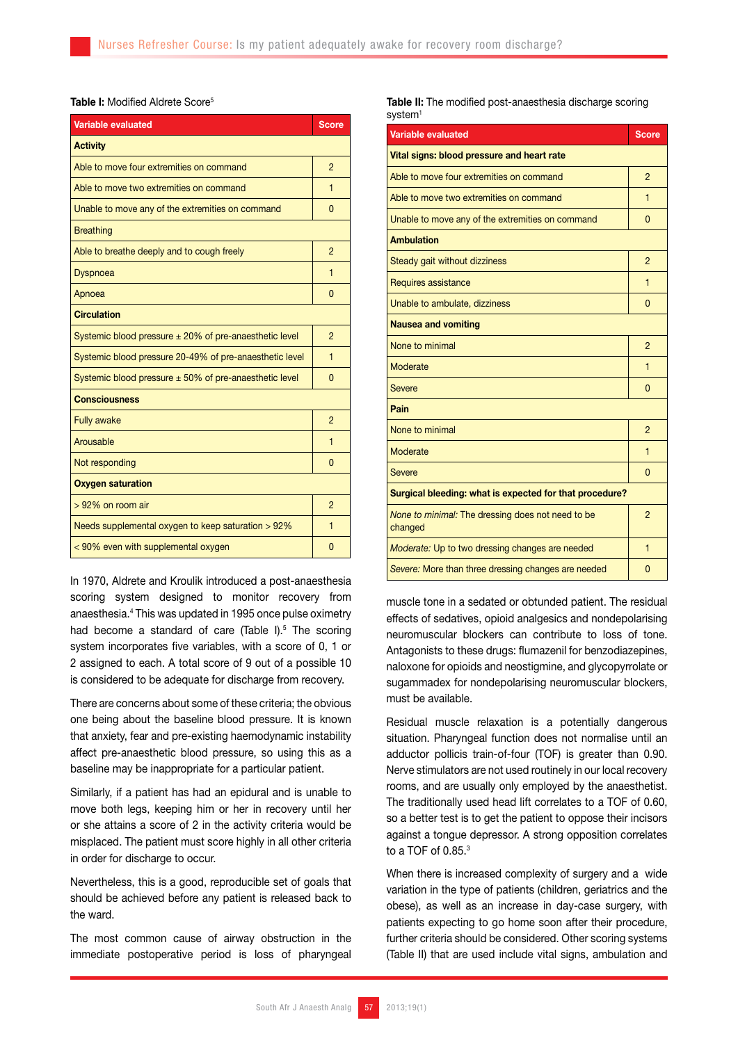### Table I: Modified Aldrete Score<sup>5</sup>

| <b>Variable evaluated</b>                                  | <b>Score</b>   |  |
|------------------------------------------------------------|----------------|--|
| <b>Activity</b>                                            |                |  |
| Able to move four extremities on command                   | $\overline{2}$ |  |
| Able to move two extremities on command                    | 1              |  |
| Unable to move any of the extremities on command           | $\overline{0}$ |  |
| <b>Breathing</b>                                           |                |  |
| Able to breathe deeply and to cough freely                 | $\overline{2}$ |  |
| <b>Dyspnoea</b>                                            | $\mathbf{1}$   |  |
| Apnoea                                                     | $\mathbf{0}$   |  |
| <b>Circulation</b>                                         |                |  |
| Systemic blood pressure ± 20% of pre-anaesthetic level     | $\overline{2}$ |  |
| Systemic blood pressure 20-49% of pre-anaesthetic level    | $\mathbf{1}$   |  |
| Systemic blood pressure $\pm$ 50% of pre-anaesthetic level | 0              |  |
| <b>Consciousness</b>                                       |                |  |
| <b>Fully awake</b>                                         | $\overline{2}$ |  |
| Arousable                                                  | $\mathbf{1}$   |  |
| Not responding                                             | 0              |  |
| <b>Oxygen saturation</b>                                   |                |  |
| $>92\%$ on room air                                        | $\overline{2}$ |  |
| Needs supplemental oxygen to keep saturation $> 92\%$      | 1              |  |
| < 90% even with supplemental oxygen                        | 0              |  |

In 1970, Aldrete and Kroulik introduced a post-anaesthesia scoring system designed to monitor recovery from anaesthesia.4 This was updated in 1995 once pulse oximetry had become a standard of care (Table I).<sup>5</sup> The scoring system incorporates five variables, with a score of 0, 1 or 2 assigned to each. A total score of 9 out of a possible 10 is considered to be adequate for discharge from recovery.

There are concerns about some of these criteria; the obvious one being about the baseline blood pressure. It is known that anxiety, fear and pre-existing haemodynamic instability affect pre-anaesthetic blood pressure, so using this as a baseline may be inappropriate for a particular patient.

Similarly, if a patient has had an epidural and is unable to move both legs, keeping him or her in recovery until her or she attains a score of 2 in the activity criteria would be misplaced. The patient must score highly in all other criteria in order for discharge to occur.

Nevertheless, this is a good, reproducible set of goals that should be achieved before any patient is released back to the ward.

The most common cause of airway obstruction in the immediate postoperative period is loss of pharyngeal

Table II: The modified post-anaesthesia discharge scoring system<sup>1</sup>

| Variable evaluated                                           | <b>Score</b>   |
|--------------------------------------------------------------|----------------|
| Vital signs: blood pressure and heart rate                   |                |
| Able to move four extremities on command                     | $\overline{2}$ |
| Able to move two extremities on command                      | 1              |
| Unable to move any of the extremities on command             | 0              |
| <b>Ambulation</b>                                            |                |
| Steady gait without dizziness                                | $\mathfrak{p}$ |
| Requires assistance                                          | 1              |
| Unable to ambulate, dizziness                                | 0              |
| <b>Nausea and vomiting</b>                                   |                |
| None to minimal                                              | $\overline{2}$ |
| Moderate                                                     | 1              |
| <b>Severe</b>                                                | 0              |
| Pain                                                         |                |
| None to minimal                                              | $\overline{2}$ |
| Moderate                                                     | 1              |
| Severe                                                       | $\Omega$       |
| Surgical bleeding: what is expected for that procedure?      |                |
| None to minimal: The dressing does not need to be<br>changed | $\overline{2}$ |
| Moderate: Up to two dressing changes are needed              | 1              |
| Severe: More than three dressing changes are needed          | 0              |

muscle tone in a sedated or obtunded patient. The residual effects of sedatives, opioid analgesics and nondepolarising neuromuscular blockers can contribute to loss of tone. Antagonists to these drugs: flumazenil for benzodiazepines, naloxone for opioids and neostigmine, and glycopyrrolate or sugammadex for nondepolarising neuromuscular blockers, must be available.

Residual muscle relaxation is a potentially dangerous situation. Pharyngeal function does not normalise until an adductor pollicis train-of-four (TOF) is greater than 0.90. Nerve stimulators are not used routinely in our local recovery rooms, and are usually only employed by the anaesthetist. The traditionally used head lift correlates to a TOF of 0.60, so a better test is to get the patient to oppose their incisors against a tongue depressor. A strong opposition correlates to a TOF of  $0.85$ . $3$ 

When there is increased complexity of surgery and a wide variation in the type of patients (children, geriatrics and the obese), as well as an increase in day-case surgery, with patients expecting to go home soon after their procedure, further criteria should be considered. Other scoring systems (Table II) that are used include vital signs, ambulation and